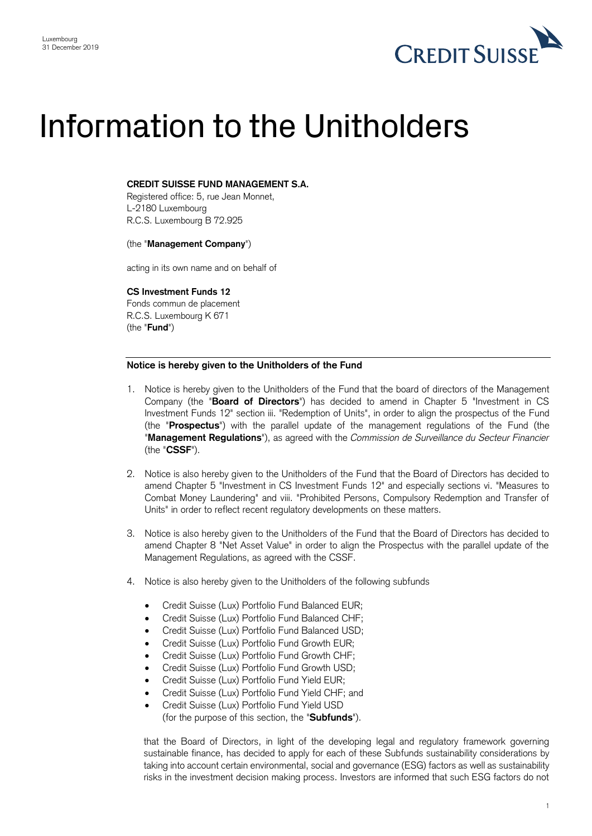

## Information to the Unitholders

## **CREDIT SUISSE FUND MANAGEMENT S.A.**

Registered office: 5, rue Jean Monnet, L-2180 Luxembourg R.C.S. Luxembourg B 72.925

(the "**Management Company**")

acting in its own name and on behalf of

**CS Investment Funds 12**

Fonds commun de placement R.C.S. Luxembourg K 671 (the "**Fund**")

## **Notice is hereby given to the Unitholders of the Fund**

- 1. Notice is hereby given to the Unitholders of the Fund that the board of directors of the Management Company (the "**Board of Directors**") has decided to amend in Chapter 5 "Investment in CS Investment Funds 12" section iii. "Redemption of Units", in order to align the prospectus of the Fund (the "**Prospectus**") with the parallel update of the management regulations of the Fund (the "**Management Regulations**"), as agreed with the *Commission de Surveillance du Secteur Financier* (the "**CSSF**").
- 2. Notice is also hereby given to the Unitholders of the Fund that the Board of Directors has decided to amend Chapter 5 "Investment in CS Investment Funds 12" and especially sections vi. "Measures to Combat Money Laundering" and viii. "Prohibited Persons, Compulsory Redemption and Transfer of Units" in order to reflect recent regulatory developments on these matters.
- 3. Notice is also hereby given to the Unitholders of the Fund that the Board of Directors has decided to amend Chapter 8 "Net Asset Value" in order to align the Prospectus with the parallel update of the Management Regulations, as agreed with the CSSF.
- 4. Notice is also hereby given to the Unitholders of the following subfunds
	- Credit Suisse (Lux) Portfolio Fund Balanced EUR;
	- Credit Suisse (Lux) Portfolio Fund Balanced CHF;
	- Credit Suisse (Lux) Portfolio Fund Balanced USD;
	- Credit Suisse (Lux) Portfolio Fund Growth EUR;
	- Credit Suisse (Lux) Portfolio Fund Growth CHF;
	- Credit Suisse (Lux) Portfolio Fund Growth USD;
	- Credit Suisse (Lux) Portfolio Fund Yield EUR;
	- Credit Suisse (Lux) Portfolio Fund Yield CHF; and
	- Credit Suisse (Lux) Portfolio Fund Yield USD (for the purpose of this section, the "**Subfunds**").

that the Board of Directors, in light of the developing legal and regulatory framework governing sustainable finance, has decided to apply for each of these Subfunds sustainability considerations by taking into account certain environmental, social and governance (ESG) factors as well as sustainability risks in the investment decision making process. Investors are informed that such ESG factors do not